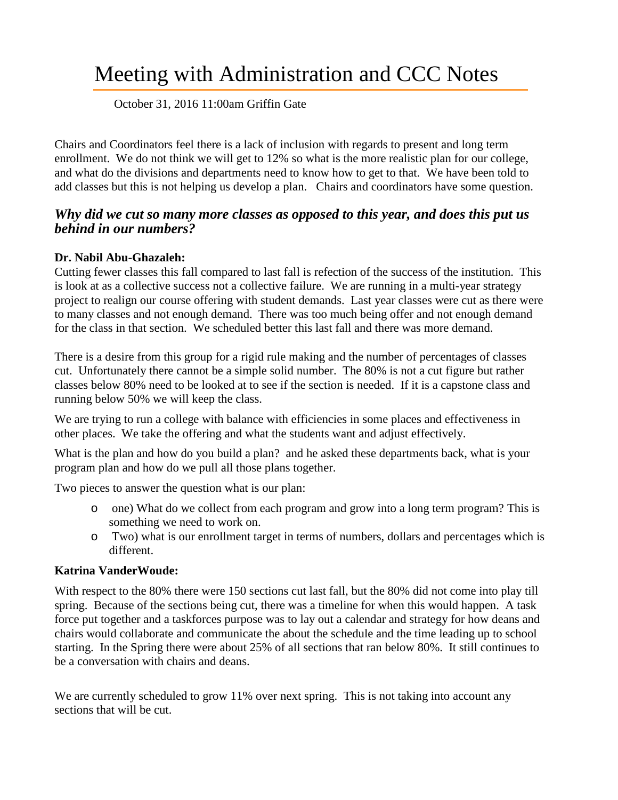# Meeting with Administration and CCC Notes

#### October 31, 2016 11:00am Griffin Gate

Chairs and Coordinators feel there is a lack of inclusion with regards to present and long term enrollment. We do not think we will get to 12% so what is the more realistic plan for our college, and what do the divisions and departments need to know how to get to that. We have been told to add classes but this is not helping us develop a plan. Chairs and coordinators have some question.

# *Why did we cut so many more classes as opposed to this year, and does this put us behind in our numbers?*

#### **Dr. Nabil Abu-Ghazaleh:**

Cutting fewer classes this fall compared to last fall is refection of the success of the institution. This is look at as a collective success not a collective failure. We are running in a multi-year strategy project to realign our course offering with student demands. Last year classes were cut as there were to many classes and not enough demand. There was too much being offer and not enough demand for the class in that section. We scheduled better this last fall and there was more demand.

There is a desire from this group for a rigid rule making and the number of percentages of classes cut. Unfortunately there cannot be a simple solid number. The 80% is not a cut figure but rather classes below 80% need to be looked at to see if the section is needed. If it is a capstone class and running below 50% we will keep the class.

We are trying to run a college with balance with efficiencies in some places and effectiveness in other places. We take the offering and what the students want and adjust effectively.

What is the plan and how do you build a plan? and he asked these departments back, what is your program plan and how do we pull all those plans together.

Two pieces to answer the question what is our plan:

- o one) What do we collect from each program and grow into a long term program? This is something we need to work on.
- o Two) what is our enrollment target in terms of numbers, dollars and percentages which is different.

### **Katrina VanderWoude:**

With respect to the 80% there were 150 sections cut last fall, but the 80% did not come into play till spring. Because of the sections being cut, there was a timeline for when this would happen. A task force put together and a taskforces purpose was to lay out a calendar and strategy for how deans and chairs would collaborate and communicate the about the schedule and the time leading up to school starting. In the Spring there were about 25% of all sections that ran below 80%. It still continues to be a conversation with chairs and deans.

We are currently scheduled to grow 11% over next spring. This is not taking into account any sections that will be cut.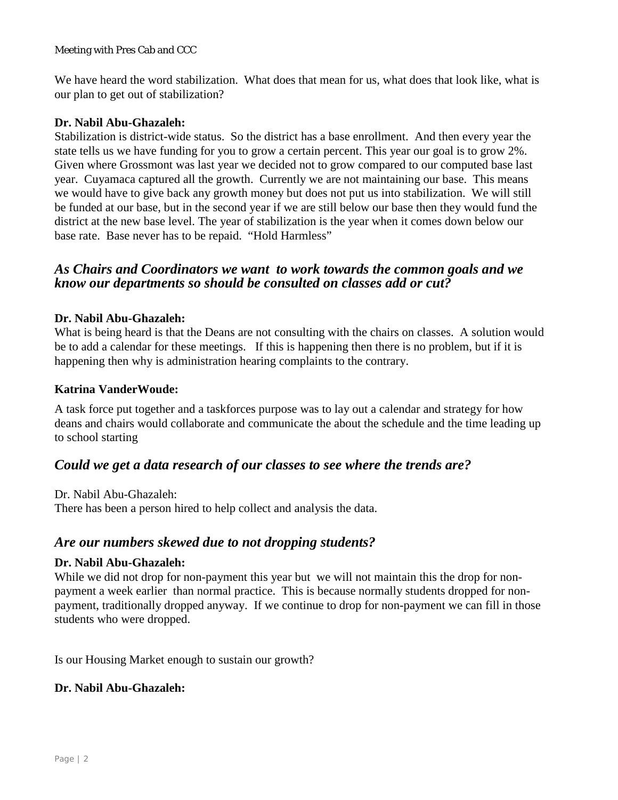Meeting with Pres Cab and CCC

We have heard the word stabilization. What does that mean for us, what does that look like, what is our plan to get out of stabilization?

#### **Dr. Nabil Abu-Ghazaleh:**

Stabilization is district-wide status. So the district has a base enrollment. And then every year the state tells us we have funding for you to grow a certain percent. This year our goal is to grow 2%. Given where Grossmont was last year we decided not to grow compared to our computed base last year. Cuyamaca captured all the growth. Currently we are not maintaining our base. This means we would have to give back any growth money but does not put us into stabilization. We will still be funded at our base, but in the second year if we are still below our base then they would fund the district at the new base level. The year of stabilization is the year when it comes down below our base rate. Base never has to be repaid. "Hold Harmless"

## *As Chairs and Coordinators we want to work towards the common goals and we know our departments so should be consulted on classes add or cut?*

#### **Dr. Nabil Abu-Ghazaleh:**

What is being heard is that the Deans are not consulting with the chairs on classes. A solution would be to add a calendar for these meetings. If this is happening then there is no problem, but if it is happening then why is administration hearing complaints to the contrary.

#### **Katrina VanderWoude:**

A task force put together and a taskforces purpose was to lay out a calendar and strategy for how deans and chairs would collaborate and communicate the about the schedule and the time leading up to school starting

# *Could we get a data research of our classes to see where the trends are?*

Dr. Nabil Abu-Ghazaleh: There has been a person hired to help collect and analysis the data.

# *Are our numbers skewed due to not dropping students?*

#### **Dr. Nabil Abu-Ghazaleh:**

While we did not drop for non-payment this year but we will not maintain this the drop for nonpayment a week earlier than normal practice. This is because normally students dropped for nonpayment, traditionally dropped anyway. If we continue to drop for non-payment we can fill in those students who were dropped.

Is our Housing Market enough to sustain our growth?

#### **Dr. Nabil Abu-Ghazaleh:**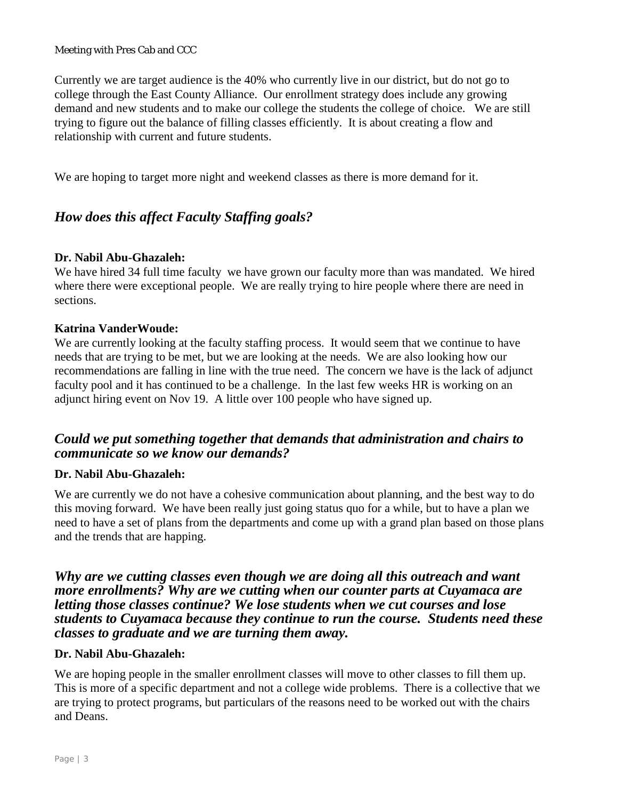Meeting with Pres Cab and CCC

Currently we are target audience is the 40% who currently live in our district, but do not go to college through the East County Alliance. Our enrollment strategy does include any growing demand and new students and to make our college the students the college of choice. We are still trying to figure out the balance of filling classes efficiently. It is about creating a flow and relationship with current and future students.

We are hoping to target more night and weekend classes as there is more demand for it.

# *How does this affect Faculty Staffing goals?*

#### **Dr. Nabil Abu-Ghazaleh:**

We have hired 34 full time faculty we have grown our faculty more than was mandated. We hired where there were exceptional people. We are really trying to hire people where there are need in sections.

#### **Katrina VanderWoude:**

We are currently looking at the faculty staffing process. It would seem that we continue to have needs that are trying to be met, but we are looking at the needs. We are also looking how our recommendations are falling in line with the true need. The concern we have is the lack of adjunct faculty pool and it has continued to be a challenge. In the last few weeks HR is working on an adjunct hiring event on Nov 19. A little over 100 people who have signed up.

# *Could we put something together that demands that administration and chairs to communicate so we know our demands?*

#### **Dr. Nabil Abu-Ghazaleh:**

We are currently we do not have a cohesive communication about planning, and the best way to do this moving forward. We have been really just going status quo for a while, but to have a plan we need to have a set of plans from the departments and come up with a grand plan based on those plans and the trends that are happing.

# *Why are we cutting classes even though we are doing all this outreach and want more enrollments? Why are we cutting when our counter parts at Cuyamaca are letting those classes continue? We lose students when we cut courses and lose students to Cuyamaca because they continue to run the course. Students need these classes to graduate and we are turning them away.*

#### **Dr. Nabil Abu-Ghazaleh:**

We are hoping people in the smaller enrollment classes will move to other classes to fill them up. This is more of a specific department and not a college wide problems. There is a collective that we are trying to protect programs, but particulars of the reasons need to be worked out with the chairs and Deans.